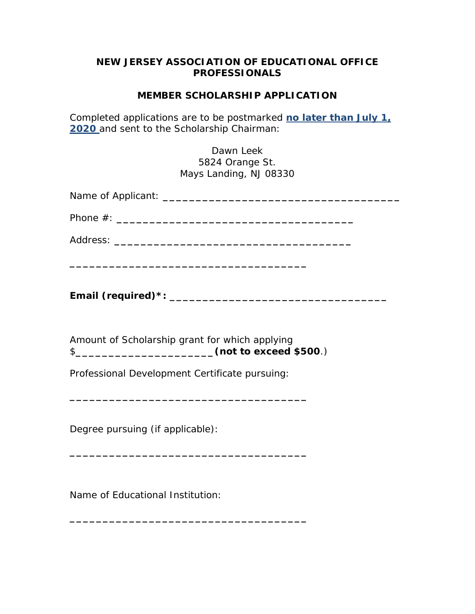## **NEW JERSEY ASSOCIATION OF EDUCATIONAL OFFICE PROFESSIONALS**

## **MEMBER SCHOLARSHIP APPLICATION**

Completed applications are to be postmarked **no later than July 1, 2020** and sent to the Scholarship Chairman:

> Dawn Leek 5824 Orange St. Mays Landing, NJ 08330

Amount of Scholarship grant for which applying \$**\_\_\_\_\_\_\_\_\_\_\_\_\_\_\_\_\_\_\_\_\_(***not to exceed \$500*.)

Professional Development Certificate pursuing:

**\_\_\_\_\_\_\_\_\_\_\_\_\_\_\_\_\_\_\_\_\_\_\_\_\_\_\_\_\_\_\_\_\_\_\_\_**

**\_\_\_\_\_\_\_\_\_\_\_\_\_\_\_\_\_\_\_\_\_\_\_\_\_\_\_\_\_\_\_\_\_\_\_\_**

**\_\_\_\_\_\_\_\_\_\_\_\_\_\_\_\_\_\_\_\_\_\_\_\_\_\_\_\_\_\_\_\_\_\_\_\_**

Degree pursuing (if applicable):

Name of Educational Institution: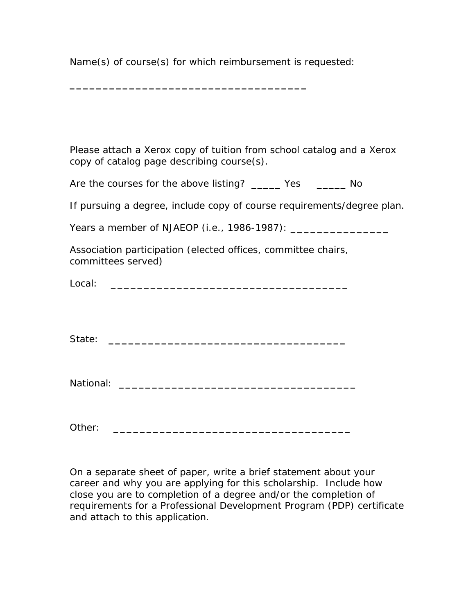Name(s) of course(s) for which reimbursement is requested:

**\_\_\_\_\_\_\_\_\_\_\_\_\_\_\_\_\_\_\_\_\_\_\_\_\_\_\_\_\_\_\_\_\_\_\_\_**

Please attach a Xerox copy of tuition from school catalog and a Xerox copy of catalog page describing course(s).

Are the courses for the above listing? The Yes The No

If pursuing a degree, include copy of course requirements/degree plan.

Years a member of NJAEOP (i.e., 1986-1987): **\_\_\_\_\_\_\_\_\_\_\_\_\_\_\_** 

Association participation (elected offices, committee chairs, committees served)

| Local: | ________<br>__________ |
|--------|------------------------|
|        |                        |

State: **\_\_\_\_\_\_\_\_\_\_\_\_\_\_\_\_\_\_\_\_\_\_\_\_\_\_\_\_\_\_\_\_\_\_\_\_**

Other: **\_\_\_\_\_\_\_\_\_\_\_\_\_\_\_\_\_\_\_\_\_\_\_\_\_\_\_\_\_\_\_\_\_\_\_\_**

On a separate sheet of paper, write a brief statement about your career and why you are applying for this scholarship. Include how close you are to completion of a degree and/or the completion of requirements for a Professional Development Program (PDP) certificate and attach to this application.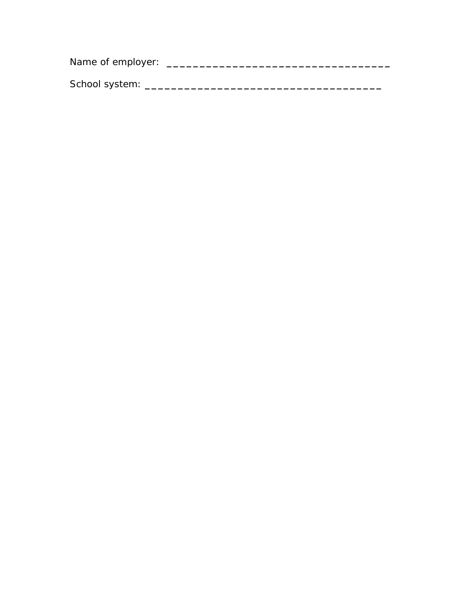$\overline{\phantom{0}}$